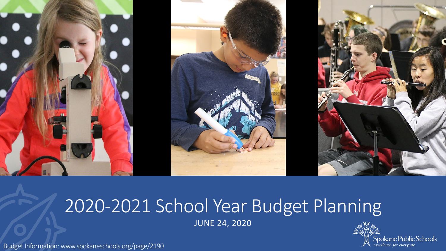

# 2020-2021 School Year Budget Planning JUNE 24, 2020



Budget Information: www.spokaneschools.org/page/2190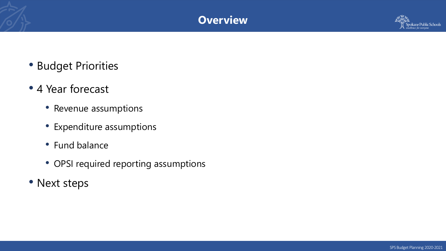### **Overview**



- Budget Priorities
- 4 Year forecast
	- Revenue assumptions
	- Expenditure assumptions
	- Fund balance
	- OPSI required reporting assumptions
- Next steps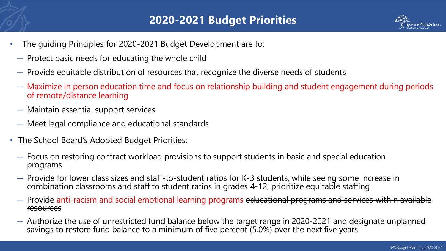

- The guiding Principles for 2020-2021 Budget Development are to:
	- ― Protect basic needs for educating the whole child
	- ― Provide equitable distribution of resources that recognize the diverse needs of students
	- ― Maximize in person education time and focus on relationship building and student engagement during periods of remote/distance learning
	- ― Maintain essential support services
	- ― Meet legal compliance and educational standards
- The School Board's Adopted Budget Priorities:
	- ― Focus on restoring contract workload provisions to support students in basic and special education programs
	- ― Provide for lower class sizes and staff-to-student ratios for K-3 students, while seeing some increase in combination classrooms and staff to student ratios in grades 4-12; prioritize equitable staffing
	- ― Provide anti-racism and social emotional learning programs educational programs and services within available resources
	- ― Authorize the use of unrestricted fund balance below the target range in 2020-2021 and designate unplanned savings to restore fund balance to a minimum of five percent  $(5.0%)$  over the next five years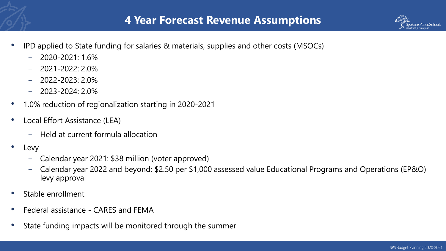



- − 2020-2021: 1.6%
- − 2021-2022: 2.0%
- − 2022-2023: 2.0%
- − 2023-2024: 2.0%
- 1.0% reduction of regionalization starting in 2020-2021
- Local Effort Assistance (LEA)
	- − Held at current formula allocation
- Levy
	- − Calendar year 2021: \$38 million (voter approved)
	- − Calendar year 2022 and beyond: \$2.50 per \$1,000 assessed value Educational Programs and Operations (EP&O) levy approval
- Stable enrollment
- Federal assistance CARES and FEMA
- State funding impacts will be monitored through the summer

Spokane Public Schools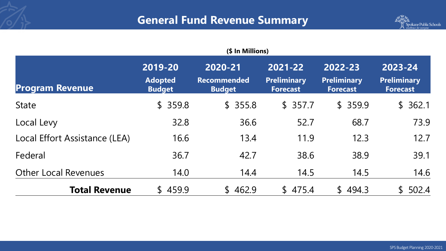## **General Fund Revenue Summary**



| <b>Program Revenue</b>        | 2019-20<br><b>Adopted</b><br><b>Budget</b> | 2020-21<br><b>Recommended</b><br><b>Budget</b> | 2021-22<br><b>Preliminary</b><br><b>Forecast</b> | 2022-23<br><b>Preliminary</b><br><b>Forecast</b> | 2023-24<br><b>Preliminary</b><br><b>Forecast</b> |  |
|-------------------------------|--------------------------------------------|------------------------------------------------|--------------------------------------------------|--------------------------------------------------|--------------------------------------------------|--|
| <b>State</b>                  | \$359.8                                    | \$355.8                                        | \$357.7                                          | \$359.9                                          | \$362.1                                          |  |
| Local Levy                    | 32.8                                       | 36.6                                           | 52.7                                             | 68.7                                             | 73.9                                             |  |
| Local Effort Assistance (LEA) | 16.6                                       | 13.4                                           | 11.9                                             | 12.3                                             | 12.7                                             |  |
| Federal                       | 36.7                                       | 42.7                                           | 38.6                                             | 38.9                                             | 39.1                                             |  |
| <b>Other Local Revenues</b>   | 14.0                                       | 14.4                                           | 14.5                                             | 14.5                                             | 14.6                                             |  |
| <b>Total Revenue</b>          | \$459.9                                    | \$462.9                                        | 475.4<br>$\mathbb{S}$                            | \$494.3                                          | 502.4<br>$\mathbb{S}^-$                          |  |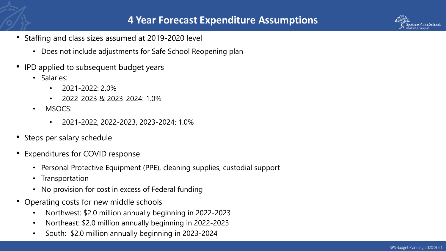- Staffing and class sizes assumed at 2019-2020 level
	- Does not include adjustments for Safe School Reopening plan
- IPD applied to subsequent budget years
	- Salaries:
		- 2021-2022: 2.0%
		- $\cdot$  2022-2023 & 2023-2024: 1.0%
	- MSOCS:
		- 2021-2022, 2022-2023, 2023-2024: 1.0%
- Steps per salary schedule
- Expenditures for COVID response
	- Personal Protective Equipment (PPE), cleaning supplies, custodial support
	- Transportation
	- No provision for cost in excess of Federal funding
- Operating costs for new middle schools
	- Northwest: \$2.0 million annually beginning in 2022-2023
	- Northeast: \$2.0 million annually beginning in 2022-2023
	- South: \$2.0 million annually beginning in 2023-2024

pokane Public Schools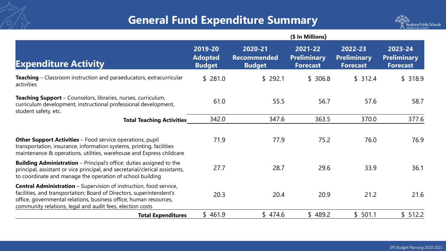# **General Fund Expenditure Summary**



|                                                                                                                                                                                                                                                                                     | (\$ In Millions)                           |                                                |                                                  |                                                  |                                                  |  |  |  |  |  |
|-------------------------------------------------------------------------------------------------------------------------------------------------------------------------------------------------------------------------------------------------------------------------------------|--------------------------------------------|------------------------------------------------|--------------------------------------------------|--------------------------------------------------|--------------------------------------------------|--|--|--|--|--|
| <b>Expenditure Activity</b>                                                                                                                                                                                                                                                         | 2019-20<br><b>Adopted</b><br><b>Budget</b> | 2020-21<br><b>Recommended</b><br><b>Budget</b> | 2021-22<br><b>Preliminary</b><br><b>Forecast</b> | 2022-23<br><b>Preliminary</b><br><b>Forecast</b> | 2023-24<br><b>Preliminary</b><br><b>Forecast</b> |  |  |  |  |  |
| <b>Teaching</b> – Classroom instruction and paraeducators, extracurricular<br>activities                                                                                                                                                                                            | \$281.0                                    | \$292.1                                        | \$306.8                                          | \$312.4                                          | \$318.9                                          |  |  |  |  |  |
| Teaching Support - Counselors, libraries, nurses, curriculum,<br>curriculum development, instructional professional development,<br>student safety, etc.                                                                                                                            | 61.0                                       | 55.5                                           | 56.7                                             | 57.6                                             | 58.7                                             |  |  |  |  |  |
| <b>Total Teaching Activities</b>                                                                                                                                                                                                                                                    | 342.0                                      | 347.6                                          | 363.5                                            | 370.0                                            | 377.6                                            |  |  |  |  |  |
| <b>Other Support Activities</b> – Food service operations, pupil<br>transportation, insurance, information systems, printing, facilities<br>maintenance & operations, utilities, warehouse and Express childcare                                                                    | 71.9                                       | 77.9                                           | 75.2                                             | 76.0                                             | 76.9                                             |  |  |  |  |  |
| <b>Building Administration</b> – Principal's office: duties assigned to the<br>principal, assistant or vice principal, and secretarial/clerical assistants,<br>to coordinate and manage the operation of school building                                                            | 27.7                                       | 28.7                                           | 29.6                                             | 33.9                                             | 36.1                                             |  |  |  |  |  |
| <b>Central Administration</b> – Supervision of instruction, food service,<br>facilities, and transportation; Board of Directors, superintendent's<br>office, governmental relations, business office, human resources,<br>community relations, legal and audit fees, election costs | 20.3                                       | 20.4                                           | 20.9                                             | 21.2                                             | 21.6                                             |  |  |  |  |  |
| <b>Total Expenditures</b>                                                                                                                                                                                                                                                           | \$461.9                                    | \$474.6                                        | \$489.2                                          | \$501.1                                          | \$512.2                                          |  |  |  |  |  |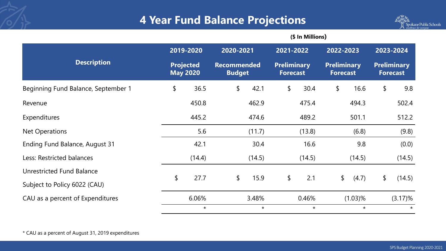### **4 Year Fund Balance Projections**



|                                     |           |                                     | (\$ In Millions) |                                     |           |                                       |            |                                       |            |                                       |  |  |
|-------------------------------------|-----------|-------------------------------------|------------------|-------------------------------------|-----------|---------------------------------------|------------|---------------------------------------|------------|---------------------------------------|--|--|
|                                     | 2019-2020 |                                     | 2020-2021        |                                     | 2021-2022 |                                       | 2022-2023  |                                       | 2023-2024  |                                       |  |  |
| <b>Description</b>                  |           | <b>Projected</b><br><b>May 2020</b> |                  | <b>Recommended</b><br><b>Budget</b> |           | <b>Preliminary</b><br><b>Forecast</b> |            | <b>Preliminary</b><br><b>Forecast</b> |            | <b>Preliminary</b><br><b>Forecast</b> |  |  |
| Beginning Fund Balance, September 1 | \$        | 36.5                                | \$               | 42.1                                | \$        | 30.4                                  | \$         | 16.6                                  | \$         | 9.8                                   |  |  |
| Revenue                             |           | 450.8                               |                  | 462.9                               |           | 475.4                                 |            | 494.3                                 |            | 502.4                                 |  |  |
| Expenditures                        |           | 445.2                               |                  | 474.6                               |           | 489.2                                 |            | 501.1                                 |            | 512.2                                 |  |  |
| Net Operations                      |           | 5.6                                 |                  | (11.7)                              |           | (13.8)                                |            | (6.8)                                 |            | (9.8)                                 |  |  |
| Ending Fund Balance, August 31      |           | 42.1                                |                  | 30.4                                |           | 16.6                                  |            | 9.8                                   |            | (0.0)                                 |  |  |
| Less: Restricted balances           |           | (14.4)                              |                  | (14.5)                              |           | (14.5)                                |            | (14.5)                                |            | (14.5)                                |  |  |
| Unrestricted Fund Balance           | \$        |                                     | \$               |                                     | \$        | 2.1                                   | \$         |                                       | \$         |                                       |  |  |
| Subject to Policy 6022 (CAU)        |           | 27.7                                |                  | 15.9                                |           |                                       |            | (4.7)                                 |            | (14.5)                                |  |  |
| CAU as a percent of Expenditures    |           | 6.06%                               |                  | 3.48%                               | 0.46%     |                                       | $(1.03)\%$ |                                       | $(3.17)\%$ |                                       |  |  |
|                                     |           | $\star$                             |                  | $\star$                             |           | $\star$                               |            | $\star$                               |            | $\star$                               |  |  |

\* CAU as a percent of August 31, 2019 expenditures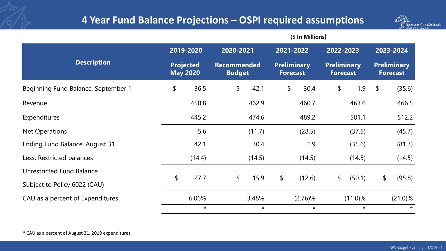#### **4 Year Fund Balance Projections – OSPI required assumptions**

**(\$ In Millions)**



|                                     | 2019-2020<br><b>Projected</b><br><b>May 2020</b> |         | 2020-2021<br><b>Recommended</b><br><b>Budget</b> |         | 2021-2022<br><b>Preliminary</b><br><b>Forecast</b> |         | 2022-2023<br><b>Preliminary</b><br><b>Forecast</b> |         | 2023-2024<br><b>Preliminary</b><br><b>Forecast</b> |         |
|-------------------------------------|--------------------------------------------------|---------|--------------------------------------------------|---------|----------------------------------------------------|---------|----------------------------------------------------|---------|----------------------------------------------------|---------|
| <b>Description</b>                  |                                                  |         |                                                  |         |                                                    |         |                                                    |         |                                                    |         |
| Beginning Fund Balance, September 1 | \$                                               | 36.5    | \$                                               | 42.1    | $\frac{1}{2}$                                      | 30.4    | \$                                                 | 1.9     | $\sqrt[6]{\frac{1}{2}}$                            | (35.6)  |
| Revenue                             |                                                  | 450.8   |                                                  | 462.9   |                                                    | 460.7   |                                                    | 463.6   |                                                    | 466.5   |
| Expenditures                        |                                                  | 445.2   |                                                  | 474.6   |                                                    | 489.2   |                                                    | 501.1   |                                                    | 512.2   |
| <b>Net Operations</b>               |                                                  | 5.6     |                                                  | (11.7)  |                                                    | (28.5)  |                                                    | (37.5)  |                                                    | (45.7)  |
| Ending Fund Balance, August 31      |                                                  | 42.1    |                                                  | 30.4    |                                                    | 1.9     |                                                    | (35.6)  |                                                    | (81.3)  |
| Less: Restricted balances           |                                                  | (14.4)  |                                                  | (14.5)  |                                                    | (14.5)  |                                                    | (14.5)  |                                                    | (14.5)  |
| <b>Unrestricted Fund Balance</b>    |                                                  |         |                                                  |         |                                                    |         |                                                    |         |                                                    |         |
| Subject to Policy 6022 (CAU)        | \$                                               | 27.7    | \$                                               | 15.9    | \$                                                 | (12.6)  | \$                                                 | (50.1)  | \$                                                 | (95.8)  |
| CAU as a percent of Expenditures    | 6.06%                                            |         | 3.48%                                            |         | $(2.76)$ %                                         |         | $(11.0)\%$                                         |         | $(21.0)\%$                                         |         |
|                                     |                                                  | $\star$ |                                                  | $\star$ |                                                    | $\star$ |                                                    | $\star$ |                                                    | $\star$ |

\* CAU as a percent of August 31, 2019 expenditures